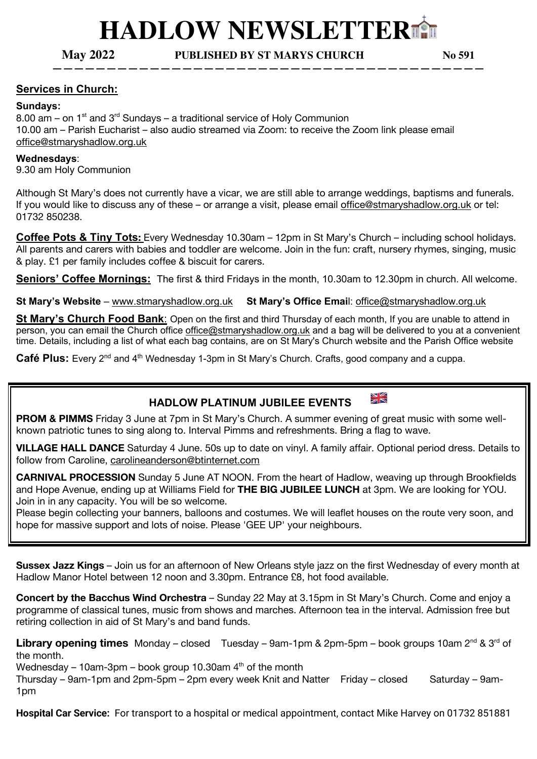# **HADLOW NEWSLETTER**⛪

**May 2022 PUBLISHED BY ST MARYS CHURCH No 591**

**————————————————————————————————————————**

#### **Services in Church:**

#### **Sundays:**

8.00 am – on  $1<sup>st</sup>$  and  $3<sup>rd</sup>$  Sundays – a traditional service of Holy Communion 10.00 am – Parish Eucharist – also audio streamed via Zoom: to receive the Zoom link please email office@stmaryshadlow.org.uk

#### **Wednesdays**:

9.30 am Holy Communion

Although St Mary's does not currently have a vicar, we are still able to arrange weddings, baptisms and funerals. If you would like to discuss any of these – or arrange a visit, please email office@stmaryshadlow.org.uk or tel: 01732 850238.

**Coffee Pots & Tiny Tots:** Every Wednesday 10.30am – 12pm in St Mary's Church – including school holidays. All parents and carers with babies and toddler are welcome. Join in the fun: craft, nursery rhymes, singing, music & play. £1 per family includes coffee & biscuit for carers.

**Seniors' Coffee Mornings:** The first & third Fridays in the month, 10.30am to 12.30pm in church. All welcome.

**St Mary's Website** – www.stmaryshadlow.org.uk **St Mary's Office Emai**l: office@stmaryshadlow.org.uk

**St Mary's Church Food Bank**: Open on the first and third Thursday of each month, If you are unable to attend in person, you can email the Church office office@stmaryshadlow.org.uk and a bag will be delivered to you at a convenient time. Details, including a list of what each bag contains, are on St Mary's Church website and the Parish Office website

Café Plus: Every 2<sup>nd</sup> and 4<sup>th</sup> Wednesday 1-3pm in St Mary's Church. Crafts, good company and a cuppa.

## **HADLOW PLATINUM JUBILEE EVENTS**



**PROM & PIMMS** Friday 3 June at 7pm in St Mary's Church. A summer evening of great music with some wellknown patriotic tunes to sing along to. Interval Pimms and refreshments. Bring a flag to wave.

**VILLAGE HALL DANCE** Saturday 4 June. 50s up to date on vinyl. A family affair. Optional period dress. Details to follow from Caroline, carolineanderson@btinternet.com

**CARNIVAL PROCESSION** Sunday 5 June AT NOON. From the heart of Hadlow, weaving up through Brookfields and Hope Avenue, ending up at Williams Field for **THE BIG JUBILEE LUNCH** at 3pm. We are looking for YOU. Join in in any capacity. You will be so welcome.

Please begin collecting your banners, balloons and costumes. We will leaflet houses on the route very soon, and hope for massive support and lots of noise. Please 'GEE UP' your neighbours.

**Sussex Jazz Kings** – Join us for an afternoon of New Orleans style jazz on the first Wednesday of every month at Hadlow Manor Hotel between 12 noon and 3.30pm. Entrance £8, hot food available.

**Concert by the Bacchus Wind Orchestra** – Sunday 22 May at 3.15pm in St Mary's Church. Come and enjoy a programme of classical tunes, music from shows and marches. Afternoon tea in the interval. Admission free but retiring collection in aid of St Mary's and band funds.

Library opening times Monday – closed Tuesday – 9am-1pm & 2pm-5pm – book groups 10am 2<sup>nd</sup> & 3<sup>rd</sup> of the month.

Wednesday – 10am-3pm – book group 10.30am  $4<sup>th</sup>$  of the month

Thursday – 9am-1pm and 2pm-5pm – 2pm every week Knit and Natter Friday – closed Saturday – 9am-1pm

**Hospital Car Service:** For transport to a hospital or medical appointment, contact Mike Harvey on 01732 851881